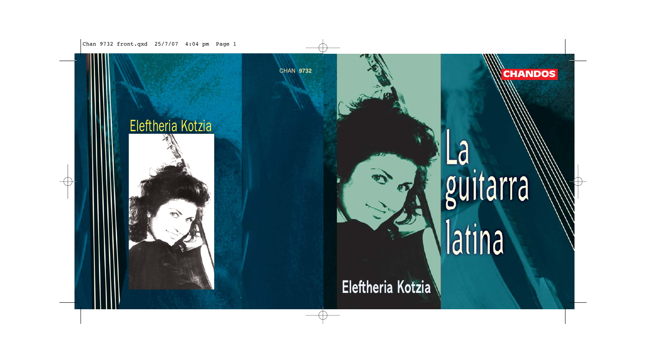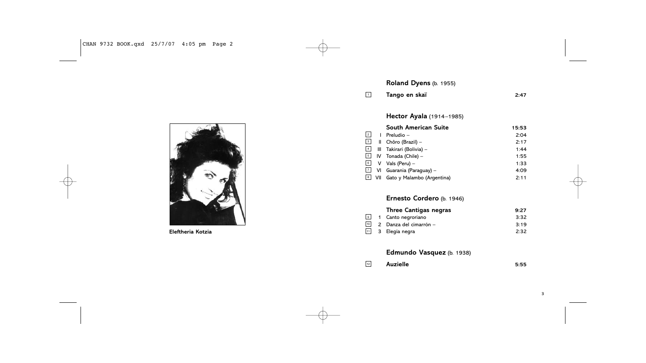

**Eleftheria Kotzia**

# **Roland Dyens** (b. 1955)

**Tango en skaï 2:47** 1

## **Hector Ayala** (1914–1985)

|           |   | <b>South American Suite</b>                                     | 15:53 |
|-----------|---|-----------------------------------------------------------------|-------|
| $\vert$ 2 | L | Preludio –                                                      | 2:04  |
|           |   | $\boxed{3}$ II Chôro (Brazil) –                                 | 2:17  |
|           |   | 4 III Takirari (Bolivia) -                                      | 1:44  |
|           |   | $\boxed{5}$ IV Tonada (Chile) –                                 | 1:55  |
|           |   | $\begin{bmatrix} 6 \end{bmatrix}$ V Vals (Peru) –               | 1:33  |
|           |   | $\boxed{7}$ VI Guarania (Paraguay) –                            | 4:09  |
|           |   | $\boxed{\underline{\mathbf{s}}}$ VII Gato y Malambo (Argentina) | 2:11  |

## **Ernesto Cordero** (b. 1946)

|                 | <b>Three Cantigas negras</b>   | 9:27 |
|-----------------|--------------------------------|------|
| 9               | 1 Canto negroriano             | 3:32 |
| 10 <sup>1</sup> | 2 Danza del cimarrón –         | 3:19 |
|                 | $\overline{11}$ 3 Elegía negra | 2:32 |

## **Edmundo Vasquez** (b. 1938)

| 12<br><b>Auzielle</b><br>5:55 |
|-------------------------------|
|                               |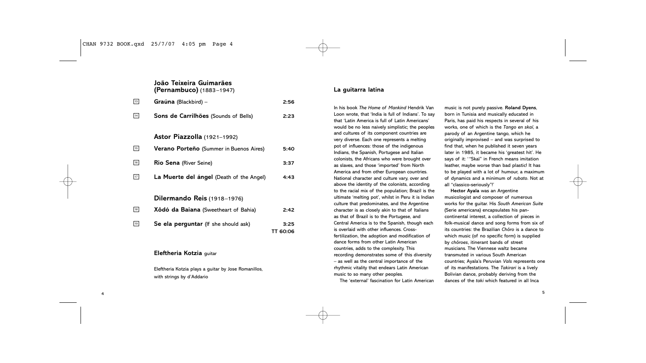|                    | João Teixeira Guimarães<br>(Pernambuco) (1883-1947) |                  |
|--------------------|-----------------------------------------------------|------------------|
| 13                 | <b>Graúna</b> (Blackbird) –                         | 2:56             |
| $\lceil 14 \rceil$ | Sons de Carrilhões (Sounds of Bells)                | 2:23             |
|                    | Astor Piazzolla (1921-1992)                         |                  |
| 15                 | <b>Verano Porteño</b> (Summer in Buenos Aires)      | 5:40             |
| 16                 | <b>Rio Sena</b> (River Seine)                       | 3:37             |
| 17                 | La Muerte del ángel (Death of the Angel)            | 4:43             |
|                    | Dilermando Reis (1918-1976)                         |                  |
| 18                 | Xôdó da Baiana (Sweetheart of Bahia)                | 2:42             |
| 19                 | Se ela perguntar (If she should ask)                | 3:25<br>TT 60:06 |

### **Eleftheria Kotzia** guitar

4

Eleftheria Kotzia plays a guitar by Jose Romanillos, with strings by d'Addario

### **La guitarra latina**

In his book *The Home of Mankind* Hendrik Van Loon wrote, that 'India is full of Indians'. To say that 'Latin America is full of Latin Americans' would be no less naively simplistic; the peoples and cultures of its component countries are very diverse. Each one represents a melting pot of influences: those of the indigenous Indians, the Spanish, Portugese and Italian colonists, the Africans who were brought over as slaves, and those 'imported' from North America and from other European countries. National character and culture vary, over and above the identity of the colonists, according to the racial mix of the population; Brazil is the ultimate 'melting pot', whilst in Peru it is Indian culture that predominates, and the Argentine character is as closely akin to that of Italians as that of Brazil is to the Portugese, and Central America is to the Spanish, though each is overlaid with other influences. Crossfertilization, the adoption and modification of dance forms from other Latin American countries, adds to the complexity. This recording demonstrates some of this diversity – as well as the central importance of the rhythmic vitality that endears Latin American music to so many other peoples. The 'external' fascination for Latin American

music is not purely passive. **Roland Dyens**, born in Tunisia and musically educated in Paris, has paid his respects in several of his works, one of which is the *Tango en skaï*, a parody of an Argentine tango, which he originally improvised – and was surprised to find that, when he published it seven years later in 1985, it became his 'greatest hit'. He says of it: '"Skaï" in French means imitation leather, maybe worse than bad plastic! It has to be played with a lot of humour, a maximum of dynamics and a minimum of *rubato*. Not at all "classico-seriously"!'

**Hector Ayala** was an Argentine musicologist and composer of numerous works for the guitar. His *South American Suite* (Serie americana) encapsulates his pancontinental interest, a collection of pieces in folk-musical dance and song forms from six of its countries: the Brazilian *Chôro* is a dance to which music (of no specific form) is supplied by *chôroes*, itinerant bands of street musicians. The Viennese waltz became transmuted in various South American countries; Ayala's Peruvian *Vals* represents one of its manifestations. The *Takirari* is a lively Bolivian dance, probably deriving from the dances of the *taki* which featured in all Inca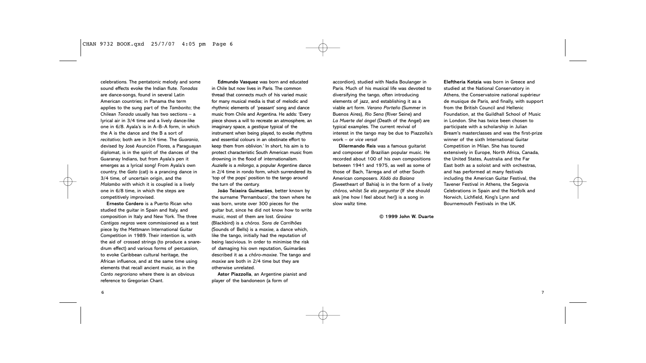#### CHAN 9732 BOOK.qxd 25/7/07 4:05 pm Page 6

celebrations. The pentatonic melody and some sound effects evoke the Indian flute. *Tonadas* are dance-songs, found in several Latin American countries; in Panama the term applies to the sung part of the *Tamborito*; the Chilean *Tonada* usually has two sections – a lyrical air in 3/4 time and a lively dance-like one in 6/8. Ayala's is in A–B–A form, in which the A is the dance and the B a sort of *recitativo*; both are in 3/4 time. The *Guarania*, devised by José Asunción Flores, a Paraguayan diplomat, is in the spirit of the dances of the Guaranay Indians, but from Ayala's pen it emerges as a lyrical song! From Ayala's own country, the *Gato* (cat) is a prancing dance in 3/4 time, of uncertain origin, and the *Malambo* with which it is coupled is a lively one in 6/8 time, in which the steps are competitively improvised.

**Ernesto Cordero** is a Puerto Rican who studied the guitar in Spain and Italy, and composition in Italy and New York. The three *Cantigas negras* were commissioned as a test piece by the Mettmann International Guitar Competition in 1989. Their intention is, with the aid of crossed strings (to produce a snaredrum effect) and various forms of percussion, to evoke Caribbean cultural heritage, the African influence, and at the same time using elements that recall ancient music, as in the *Canto negroriano* where there is an obvious reference to Gregorian Chant.

**Edmundo Vasquez** was born and educated in Chile but now lives in Paris. The common thread that connects much of his varied music for many musical media is that of melodic and rhythmic elements of 'peasant' song and dance music from Chile and Argentina. He adds: 'Every piece shows a will to recreate an atmosphere, an imaginary space, a *gestique* typical of the instrument when being played, to evoke rhythms and essential colours in an obstinate effort to keep them from oblivion.' In short, his aim is to protect characteristic South American music from drowning in the flood of internationalism. *Auzielle* is a *milonga*, a popular Argentine dance in 2/4 time in rondo form, which surrendered its 'top of the pops' position to the tango around the turn of the century.

**João Teixeira Guimarães**, better known by the surname 'Pernambuco', the town where he was born, wrote over 300 pieces for the guitar but, since he did not know how to write music, most of them are lost. *Graúna* (Blackbird) is a *chôros*. *Sons de Carrilhões* (Sounds of Bells) is a *maxixe*, a dance which, like the tango, initially had the reputation of being lascivious. In order to minimise the risk of damaging his own reputation, Guimarães described it as a *chôro-maxixe*. The tango and *maxixe* are both in 2/4 time but they are otherwise unrelated.

**Astor Piazzolla**, an Argentine pianist and player of the bandoneon (a form of

accordion), studied with Nadia Boulanger in Paris. Much of his musical life was devoted to diversifying the tango, often introducing elements of jazz, and establishing it as a viable art form. *Verano Porteño* (Summer in Buenos Aires), *Rio Sena* (River Seine) and *La Muerte del ángel* (Death of the Angel) are typical examples. The current revival of interest in the tango may be due to Piazzolla's work – or *vice versa*!

**Dilermando Reis** was a famous guitarist and composer of Brazilian popular music. He recorded about 100 of his own compositions between 1941 and 1975, as well as some of those of Bach, Tárrega and of other South American composers. *Xôdó da Baiana* (Sweetheart of Bahia) is in the form of a lively *chôros*, whilst *Se ela perguntar* (If she should ask [me how I feel about her]) is a song in slow waltz time.

**© 1999 John W. Duarte**

**Eleftheria Kotzia** was born in Greece and studied at the National Conservatory in Athens, the Conservatoire national supérieur de musique de Paris, and finally, with support from the British Council and Hellenic Foundation, at the Guildhall School of Music in London. She has twice been chosen to participate with a scholarship in Julian Bream's masterclasses and was the first-prize winner of the sixth International Guitar Competition in Milan. She has toured extensively in Europe, North Africa, Canada, the United States, Australia and the Far East both as a soloist and with orchestras, and has performed at many festivals including the American Guitar Festival, the Tavener Festival in Athens, the Segovia Celebrations in Spain and the Norfolk and Norwich, Lichfield, King's Lynn and Bournemouth Festivals in the UK.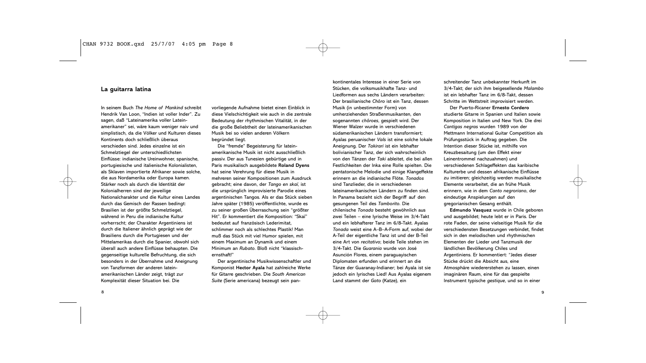### **La guitarra latina**

In seinem Buch *The Home of Mankind* schreibt Hendrik Van Loon, "Indien ist voller Inder". Zu sagen, daß "Lateinamerika voller Lateinamerikaner" sei, wäre kaum weniger naiv und simplistisch, da die Völker und Kulturen dieses Kontinents doch schließlich überaus verschieden sind. Jedes einzelne ist ein Schmelztiegel der unterschiedlichsten Einflüsse: indianische Ureinwohner, spanische, portugiesische und italienische Kolonialisten, als Sklaven importierte Afrikaner sowie solche, die aus Nordamerika oder Europa kamen. Stärker noch als durch die Identität der Kolonialherren sind der jeweilige Nationalcharakter und die Kultur eines Landes durch das Gemisch der Rassen bedingt: Brasilien ist der größte Schmelztiegel, während in Peru die indianische Kultur vorherrscht; der Charakter Argentiniens ist durch die Italiener ähnlich geprägt wie der Brasiliens durch die Portugiesen und der Mittelamerikas durch die Spanier, obwohl sich überall auch andere Einflüsse behaupten. Die gegenseitige kulturelle Befruchtung, die sich besonders in der Übernahme und Aneignung von Tanzformen der anderen lateinamerikanischen Länder zeigt, trägt zur Komplexität dieser Situation bei. Die

vorliegende Aufnahme bietet einen Einblick in diese Vielschichtigkeit wie auch in die zentrale Bedeutung der rhythmischen Vitalität, in der die große Beliebtheit der lateinamerikanischen Musik bei so vielen anderen Völkern begründet liegt.

Die "fremde" Begeisterung für lateinamerikanische Musik ist nicht ausschließlich passiv. Der aus Tunesien gebürtige und in Paris musikalisch ausgebildete **Roland Dyens** hat seine Verehrung für diese Musik in mehreren seiner Kompositionen zum Ausdruck gebracht; eine davon, der *Tango en skaï*, ist die ursprünglich improvisierte Parodie eines argentinischen Tangos. Als er das Stück sieben Jahre später (1985) veröffentlichte, wurde es zu seiner großen Überraschung sein "größter Hit". Er kommentiert die Komposition: "Skaï" bedeutet auf französisch Lederimitat, schlimmer noch als schlechtes Plastik! Man muß das Stück mit viel Humor spielen, mit einem Maximum an Dynamik und einem Minimum an *Rubato*. Bloß nicht "klassischernsthaft!"

Der argentinische Musikwissenschaftler und Komponist **Hector Ayala** hat zahlreiche Werke für Gitarre geschrieben. Die *South American Suite* (Serie americana) bezeugt sein panStücken, die volksmusikhafte Tanz- und Liedformen aus sechs Ländern verarbeiten: Der brasilianische *Chôro* ist ein Tanz, dessen Musik (in unbestimmter Form) von umherziehenden Straßenmusikanten, den sogenannten *chôroes*, gespielt wird. Der Wiener Walzer wurde in verschiedenen südamerikanischen Ländern transformiert; Ayalas peruanischer *Vals* ist eine solche lokale Aneignung. Der *Takirari* ist ein lebhafter bolivianischer Tanz, der sich wahrscheinlich von den Tänzen der *Taki* ableitet, die bei allen Festlichkeiten der Inka eine Rolle spielten. Die pentatonische Melodie und einige Klangeffekte erinnern an die indianische Flöte. *Tonados* sind Tanzlieder, die in verschiedenen lateinamerikanischen Ländern zu finden sind. In Panama bezieht sich der Begriff auf den gesungenen Teil des *Tamborito*. Die chilenische *Tonada* besteht gewöhnlich aus zwei Teilen – eine lyrische Weise im 3/4-Takt und ein lebhafterer Tanz im 6/8-Takt. Ayalas *Tonada* weist eine A–B–A-Form auf, wobei der A-Teil der eigentliche Tanz ist und der B-Teil eine Art von *recitativo*; beide Teile stehen im 3/4-Takt. Die *Guarania* wurde von José Asunción Flores, einem paraguayischen Diplomaten erfunden und erinnert an die Tänze der Guaranay-Indianer; bei Ayala ist sie jedoch ein lyrisches Lied! Aus Ayalas eigenem Land stammt der *Gato* (Katze), ein

kontinentales Interesse in einer Serie von

schreitender Tanz unbekannter Herkunft im 3/4-Takt; der sich ihm beigesellende *Malambo* ist ein lebhafter Tanz im 6/8-Takt, dessen Schritte im Wettstreit improvisiert werden.

Der Puerto-Ricaner **Ernesto Cordero** studierte Gitarre in Spanien und Italien sowie Komposition in Italien und New York. Die drei *Cantigas negras* wurden 1989 von der Mettmann International Guitar Competition als Prüfungsstück in Auftrag gegeben. Die Intention dieser Stücke ist, mithilfe von Kreuzbesaitung (um den Effekt einer Leinentrommel nachzuahmen) und verschiedenen Schlageffekten das karibische Kulturerbe und dessen afrikanische Einflüsse zu imitieren; gleichzeitig werden musikalische Elemente verarbeitet, die an frühe Musik erinnern, wie in dem *Canto negroriano*, der eindeutige Anspielungen auf den gregorianischen Gesang enthält.

**Edmundo Vasquez** wurde in Chile geboren und ausgebildet; heute lebt er in Paris. Der rote Faden, der seine vielseitige Musik für die verschiedensten Besetzungen verbindet, findet sich in den melodischen und rhythmischen Elementen der Lieder und Tanzmusik der ländlichen Bevölkerung Chiles und Argentiniens. Er kommentiert: "Jedes dieser Stücke drückt die Absicht aus, eine Atmosphäre wiedererstehen zu lassen, einen imaginären Raum, eine für das gespielte Instrument typische *gestique*, und so in einer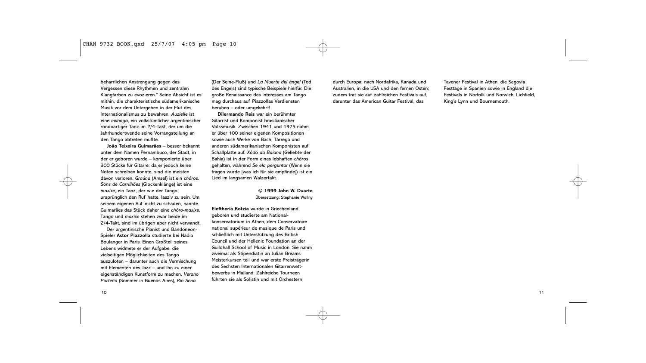#### CHAN 9732 BOOK.qxd 25/7/07 4:05 pm Page 10

beharrlichen Anstrengung gegen das Vergessen diese Rhythmen und zentralen Klangfarben zu evozieren." Seine Absicht ist es mithin, die charakteristische südamerikanische Musik vor dem Untergehen in der Flut des Internationalismus zu bewahren. *Auzielle* ist eine *milonga*, ein volkstümlicher argentinischer rondoartiger Tanz im 2/4-Takt, der um die Jahrhundertwende seine Vorrangstellung an den Tango abtreten mußte.

**João Teixeira Guimarães** – besser bekannt unter dem Namen Pernambuco, der Stadt, in der er geboren wurde – komponierte über 300 Stücke für Gitarre; da er jedoch keine Noten schreiben konnte, sind die meisten davon verloren. *Graúna* (Amsel) ist ein *chôros*. *Sons de Carrilhões* (Glockenklänge) ist eine *maxixe*, ein Tanz, der wie der Tango ursprünglich den Ruf hatte, lasziv zu sein. Um seinem eigenen Ruf nicht zu schaden, nannte Guimarães das Stück daher eine *chôro-maxixe*. Tango und *maxixe* stehen zwar beide im 2/4-Takt, sind im übrigen aber nicht verwandt.

Der argentinische Pianist und Bandoneon-Spieler **Astor Piazzolla** studierte bei Nadia Boulanger in Paris. Einen Großteil seines Lebens widmete er der Aufgabe, die vielseitigen Möglichkeiten des Tango auszuloten – darunter auch die Vermischung mit Elementen des Jazz – und ihn zu einer eigenständigen Kunstform zu machen. *Verano Porteño* (Sommer in Buenos Aires), *Rio Sena*

(Der Seine-Fluß) und *La Muerte del ángel* (Tod des Engels) sind typische Beispiele hierfür. Die große Renaissance des Interesses am Tango mag durchaus auf Piazzollas Verdiensten beruhen – oder umgekehrt!

**Dilermando Reis** war ein berühmter Gitarrist und Komponist brasilianischer Volksmusik. Zwischen 1941 und 1975 nahm er über 100 seiner eigenen Kompositionen sowie auch Werke von Bach, Tárrega und anderen südamerikanischen Komponisten auf Schallplatte auf. *Xôdó da Baiana* (Geliebte der Bahia) ist in der Form eines lebhaften *chôros* gehalten, während *Se ela perguntar* (Wenn sie fragen würde [was ich für sie empfinde]) ist ein Lied im langsamen Walzertakt.

> **© 1999 John W. Duarte** Übersetzung: Stephanie Wollny

**Eleftheria Kotzia** wurde in Griechenland geboren und studierte am Nationalkonservatorium in Athen, dem Conservatoire national supérieur de musique de Paris und schließlich mit Unterstützung des British Council und der Hellenic Foundation an der Guildhall School of Music in London. Sie nahm zweimal als Stipendiatin an Julian Breams Meisterkursen teil und war erste Preisträgerin des Sechsten Internationalen Gitarrenwettbewerbs in Mailand. Zahlreiche Tourneen führten sie als Solistin und mit Orchestern

durch Europa, nach Nordafrika, Kanada und Australien, in die USA und den fernen Osten; zudem trat sie auf zahlreichen Festivals auf, darunter das American Guitar Festival, das

Tavener Festival in Athen, die Segovia Festtage in Spanien sowie in England die Festivals in Norfolk und Norwich, Lichfield, King's Lynn und Bournemouth.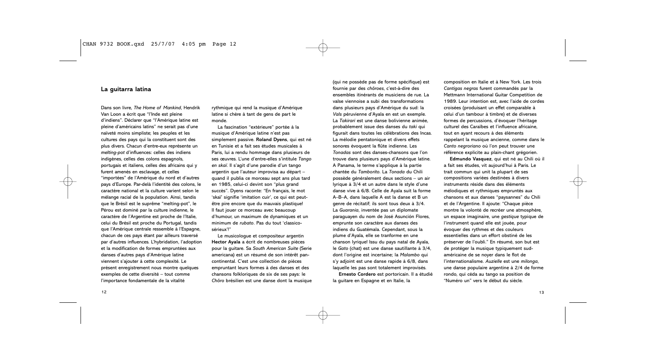### **La guitarra latina**

Dans son livre, *The Home of Mankind*, Hendrik Van Loon a écrit que "l'Inde est pleine d'indiens". Déclarer que "l'Amérique latine est pleine d'américains latins" ne serait pas d'une naïveté moins simpliste; les peuples et les cultures des pays qui la constituent sont des plus divers. Chacun d'entre-eux représente un *melting-pot* d'influences: celles des indiens indigènes, celles des colons espagnols, portugais et italiens, celles des africains qui y furent amenés en esclavage, et celles "importées" de l'Amérique du nord et d'autres pays d'Europe. Par-delà l'identité des colons, le caractère national et la culture varient selon le mélange racial de la population. Ainsi, tandis que le Brésil est le suprême "melting-pot", le Pérou est dominé par la culture indienne, le caractère de l'Argentine est proche de l'Italie, celui du Brésil est proche du Portugal, tandis que l'Amérique centrale ressemble à l'Espagne, chacun de ces pays étant par ailleurs traversé par d'autres influences. L'hybridation, l'adoption et la modification de formes empruntées aux danses d'autres pays d'Amérique latine viennent s'ajouter à cette complexité. Le présent enregistrement nous montre quelques exemples de cette diversité – tout comme l'importance fondamentale de la vitalité

rythmique qui rend la musique d'Amérique latine si chère à tant de gens de part le monde.

La fascination "extérieure" portée à la musique d'Amérique latine n'est pas simplement passive. **Roland Dyens**, qui est né en Tunisie et a fait ses études musicales à Paris, lui a rendu hommage dans plusieurs de ses œuvres. L'une d'entre-elles s'intitule *Tango en skaï*. Il s'agit d'une parodie d'un tango argentin que l'auteur improvisa au départ – quand il publia ce morceau sept ans plus tard en 1985, celui-ci devint son "plus grand succès". Dyens raconte: "En français, le mot 'skaï' signifie 'imitation cuir', ce qui est peutêtre pire encore que du mauvais plastique! Il faut jouer ce morceau avec beaucoup d'humour, un maximum de dynamiques et un minimum de *rubato*. Pas du tout 'classicosérieux'!"

Le musicologue et compositeur argentin **Hector Ayala** a écrit de nombreuses pièces pour la guitare. Sa *South American Suite* (Serie americana) est un résumé de son intérêt pancontinental. C'est une collection de pièces empruntant leurs formes à des danses et des chansons folkloriques de six de ses pays: le *Chôro* brésilien est une danse dont la musique

(qui ne possède pas de forme spécifique) est fournie par des *chôroes*, c'est-à-dire des ensembles itinérants de musiciens de rue. La valse viennoise a subi des transformations dans plusieurs pays d'Amérique du sud: la *Vals* péruvienne d'Ayala en est un exemple. La *Takirari* est une danse bolivienne animée, probablement issue des danses du *taki* qui figurait dans toutes les célébrations des Incas. La mélodie pentatonique et divers effets sonores évoquent la flûte indienne. Les *Tonadas* sont des danses-chansons que l'on trouve dans plusieurs pays d'Amérique latine. A Panama, le terme s'applique à la partie chantée du *Tamborito*. La *Tonada* du Chili possède généralement deux sections – un air lyrique à 3/4 et un autre dans le style d'une danse vive à 6/8. Celle de Ayala suit la forme A–B–A, dans laquelle A est la danse et B un genre de récitatif; ils sont tous deux à 3/4. La *Guarania*, inventée pas un diplomate paraguayen du nom de José Asunción Flores, emprunte son caractère aux danses des indiens du Guatémala. Cependant, sous la plume d'Ayala, elle se tranforme en une chanson lyrique! Issu du pays natal de Ayala, le *Gato* (chat) est une danse sautillante à 3/4, dont l'origine est incertaine; la *Malambo* qui s'y adjoint est une danse rapide à 6/8, dans laquelle les pas sont totalement improvisés. **Ernesto Cordero** est portoricain. Il a étudié

la guitare en Espagne et en Italie, la

composition en Italie et à New York. Les trois *Cantigas negras* furent commandés par la Mettmann International Guitar Competition de 1989. Leur intention est, avec l'aide de cordes croisées (produisant un effet comparable à celui d'un tambour à timbre) et de diverses formes de percussions, d'évoquer l'héritage culturel des Caraïbes et l'influence africaine, tout en ayant recours à des éléments rappelant la musique ancienne, comme dans le *Canto negroriano* où l'on peut trouver une référence explicite au plain-chant grégorien.

**Edmundo Vasquez**, qui est né au Chili où il a fait ses études, vit aujourd'hui à Paris. Le trait commun qui unit la plupart de ses compositions variées destinées à divers instruments réside dans des éléments mélodiques et rythmiques empruntés aux chansons et aux danses "paysannes" du Chili et de l'Argentine. Il ajoute: "Chaque pièce montre la volonté de recréer une atmosphère, un espace imaginaire, une *gestique* typique de l'instrument quand elle est jouée, pour évoquer des rythmes et des couleurs essentielles dans un effort obstiné de les préserver de l'oubli." En résumé, son but est de protéger la musique typiquement sudaméricaine de se noyer dans le flot de l'internationalisme. *Auzielle* est une *milonga*, une danse populaire argentine à 2/4 de forme rondo, qui céda au tango sa position de "Numéro un" vers le début du siècle.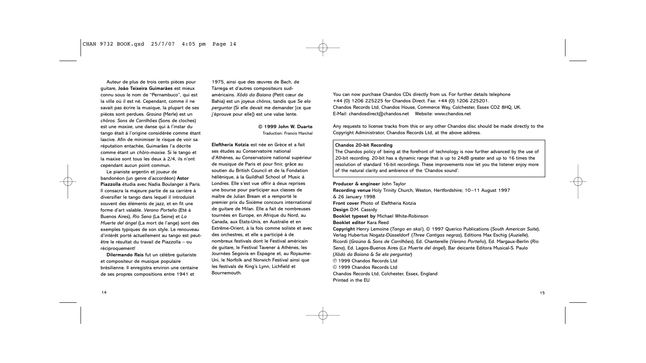#### CHAN 9732 BOOK.qxd 25/7/07 4:05 pm Page 14

Auteur de plus de trois cents pièces pour guitare, **João Teixeira Guimarães** est mieux connu sous le nom de "Pernambuco", qui est la ville où il est né. Cependant, comme il ne savait pas écrire la musique, la plupart de ses pièces sont perdues. *Graúna* (Merle) est un *chôros. Sons de Carrilhões* (Sons de cloches) est une *maxixe*, une danse qui à l'instar du tango était à l'origine considérée comme étant lascive. Afin de minimiser le risque de voir sa réputation entachée, Guimarães l'a décrite comme étant un *chôro-maxixe*. Si le tango et la maxixe sont tous les deux à 2/4, ils n'ont cependant aucun point commun.

Le pianiste argentin et joueur de bandonéon (un genre d'accordéon) **Astor Piazzolla** étudia avec Nadia Boulanger à Paris. Il consacra la majeure partie de sa carrière à diversifier le tango dans lequel il introduisit souvent des éléments de jazz, et en fit une forme d'art valable. *Verano Porteño* (Eté à Buenos Aires), *Rio Sena* (La Seine) et *La Muerte del ángel* (La mort de l'ange) sont des exemples typiques de son style. Le renouveau d'intérêt porté actuellement au tango est peutêtre le résultat du travail de Piazzolla – ou réciproquement!

**Dilermando Reis** fut un célèbre guitariste et compositeur de musique populaire brésilienne. Il enregistra environ une centaine de ses propres compositions entre 1941 et

1975, ainsi que des œuvres de Bach, de Tárrega et d'autres compositeurs sudaméricains. *Xôdó da Baiana* (Petit cœur de Bahia) est un joyeux *chôros*, tandis que *Se ela perguntar* (Si elle devait me demander [ce que j'éprouve pour elle]) est une valse lente.

> **© 1999 John W. Duarte** Traduction: Francis Marchal

**Eleftheria Kotzia** est née en Grèce et a fait ses études au Conservatoire national d'Athènes, au Conservatoire national supérieur de musique de Paris et pour finir, grâce au soutien du British Council et de la Fondation héllénique, à la Guildhall School of Music à Londres. Elle s'est vue offrir à deux reprises une bourse pour participer aux classes de maître de Julian Bream et a remporté le premier prix du Sixième concours international de guitare de Milan. Elle a fait de nombreuses tournées en Europe, en Afrique du Nord, au Canada, aux Etats-Unis, en Australie et en Extrême-Orient, à la fois comme soliste et avec des orchestres, et elle a participé à de nombreux festivals dont le Festival américain de guitare, le Festival Tavener à Athènes, les Journées Segovia en Espagne et, au Royaume-Uni, le Norfolk and Norwich Festival ainsi que les festivals de King's Lynn, Lichfield et Bournemouth.

You can now purchase Chandos CDs directly from us. For further details telephone +44 (0) 1206 225225 for Chandos Direct. Fax: +44 (0) 1206 225201. Chandos Records Ltd, Chandos House, Commerce Way, Colchester, Essex CO2 8HQ, UK. E-Mail: chandosdirect@chandos.net Website: www.chandos.net

Any requests to license tracks from this or any other Chandos disc should be made directly to the Copyright Administrator, Chandos Records Ltd, at the above address.

#### **Chandos 20-bit Recording**

The Chandos policy of being at the forefront of technology is now further advanced by the use of 20-bit recording. 20-bit has a dynamic range that is up to 24dB greater and up to 16 times the resolution of standard 16-bit recordings. These improvements now let you the listener enjoy more of the natural clarity and ambience of the 'Chandos sound'.

**Producer & engineer** John Taylor **Recording venue** Holy Trinity Church, Weston, Hertfordshire; 10–11 August 1997 & 26 January 1998 **Front cover** Photo of Eleftheria Kotzia **Design** D.M. Cassidy **Booklet typeset by** Michael White-Robinson **Booklet editor** Kara Reed **Copyright** Henry Lemoine (*Tango en skaï*), © 1997 Querico Publications (*South American Suite*), Verlag Hubertus Nogatz-Düsseldorf (*Three Cantigas negras*), Editions Max Eschig (*Auzielle*), Ricordi (*Graúna* & *Sons de Carrilhões*), Ed. Chanterelle (*Verano Porteño*), Ed. Margaux-Berlin (*Rio Sena*), Ed. Lagos-Buenos Aires (*La Muerte del ángel*), Bar deicante Editora Musical-S. Paulo (*Xôdó da Baiana* & *Se ela perguntar*) p 1999 Chandos Records Ltd c 1999 Chandos Records Ltd Chandos Records Ltd, Colchester, Essex, England Printed in the EU